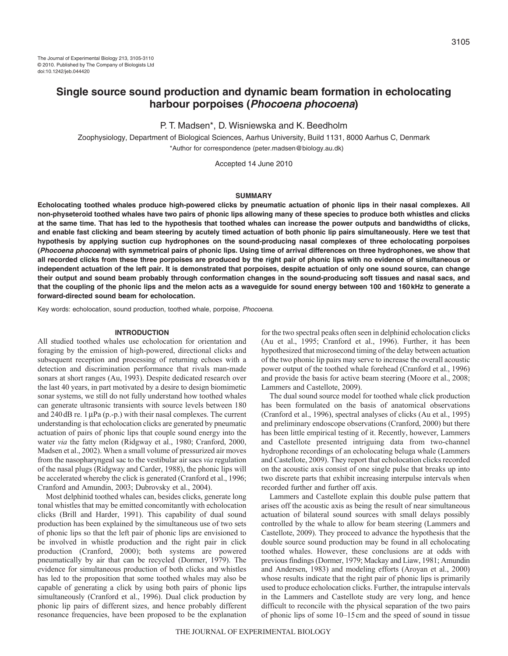# **Single source sound production and dynamic beam formation in echolocating harbour porpoises (Phocoena phocoena)**

P. T. Madsen\*, D. Wisniewska and K. Beedholm

Zoophysiology, Department of Biological Sciences, Aarhus University, Build 1131, 8000 Aarhus C, Denmark \*Author for correspondence (peter.madsen@biology.au.dk)

Accepted 14 June 2010

#### **SUMMARY**

**Echolocating toothed whales produce high-powered clicks by pneumatic actuation of phonic lips in their nasal complexes. All non-physeteroid toothed whales have two pairs of phonic lips allowing many of these species to produce both whistles and clicks at the same time. That has led to the hypothesis that toothed whales can increase the power outputs and bandwidths of clicks, and enable fast clicking and beam steering by acutely timed actuation of both phonic lip pairs simultaneously. Here we test that hypothesis by applying suction cup hydrophones on the sound-producing nasal complexes of three echolocating porpoises (Phocoena phocoena) with symmetrical pairs of phonic lips. Using time of arrival differences on three hydrophones, we show that all recorded clicks from these three porpoises are produced by the right pair of phonic lips with no evidence of simultaneous or independent actuation of the left pair. It is demonstrated that porpoises, despite actuation of only one sound source, can change their output and sound beam probably through conformation changes in the sound-producing soft tissues and nasal sacs, and that the coupling of the phonic lips and the melon acts as a waveguide for sound energy between 100 and 160kHz to generate a forward-directed sound beam for echolocation.**

Key words: echolocation, sound production, toothed whale, porpoise, Phocoena.

#### **INTRODUCTION**

All studied toothed whales use echolocation for orientation and foraging by the emission of high-powered, directional clicks and subsequent reception and processing of returning echoes with a detection and discrimination performance that rivals man-made sonars at short ranges (Au, 1993). Despite dedicated research over the last 40 years, in part motivated by a desire to design biomimetic sonar systems, we still do not fully understand how toothed whales can generate ultrasonic transients with source levels between 180 and  $240$  dB re. 1  $\mu$ Pa (p.-p.) with their nasal complexes. The current understanding is that echolocation clicks are generated by pneumatic actuation of pairs of phonic lips that couple sound energy into the water *via* the fatty melon (Ridgway et al., 1980; Cranford, 2000, Madsen et al., 2002). When a small volume of pressurized air moves from the nasopharyngeal sac to the vestibular air sacs *via* regulation of the nasal plugs (Ridgway and Carder, 1988), the phonic lips will be accelerated whereby the click is generated (Cranford et al., 1996; Cranford and Amundin, 2003; Dubrovsky et al., 2004).

Most delphinid toothed whales can, besides clicks, generate long tonal whistles that may be emitted concomitantly with echolocation clicks (Brill and Harder, 1991). This capability of dual sound production has been explained by the simultaneous use of two sets of phonic lips so that the left pair of phonic lips are envisioned to be involved in whistle production and the right pair in click production (Cranford, 2000); both systems are powered pneumatically by air that can be recycled (Dormer, 1979). The evidence for simultaneous production of both clicks and whistles has led to the proposition that some toothed whales may also be capable of generating a click by using both pairs of phonic lips simultaneously (Cranford et al., 1996). Dual click production by phonic lip pairs of different sizes, and hence probably different resonance frequencies, have been proposed to be the explanation for the two spectral peaks often seen in delphinid echolocation clicks (Au et al., 1995; Cranford et al., 1996). Further, it has been hypothesized that microsecond timing of the delay between actuation of the two phonic lip pairs may serve to increase the overall acoustic power output of the toothed whale forehead (Cranford et al., 1996) and provide the basis for active beam steering (Moore et al., 2008; Lammers and Castellote, 2009).

The dual sound source model for toothed whale click production has been formulated on the basis of anatomical observations (Cranford et al., 1996), spectral analyses of clicks (Au et al., 1995) and preliminary endoscope observations (Cranford, 2000) but there has been little empirical testing of it. Recently, however, Lammers and Castellote presented intriguing data from two-channel hydrophone recordings of an echolocating beluga whale (Lammers and Castellote, 2009). They report that echolocation clicks recorded on the acoustic axis consist of one single pulse that breaks up into two discrete parts that exhibit increasing interpulse intervals when recorded further and further off axis.

Lammers and Castellote explain this double pulse pattern that arises off the acoustic axis as being the result of near simultaneous actuation of bilateral sound sources with small delays possibly controlled by the whale to allow for beam steering (Lammers and Castellote, 2009). They proceed to advance the hypothesis that the double source sound production may be found in all echolocating toothed whales. However, these conclusions are at odds with previous findings (Dormer, 1979; Mackay and Liaw, 1981; Amundin and Andersen, 1983) and modeling efforts (Aroyan et al., 2000) whose results indicate that the right pair of phonic lips is primarily used to produce echolocation clicks. Further, the intrapulse intervals in the Lammers and Castellote study are very long, and hence difficult to reconcile with the physical separation of the two pairs of phonic lips of some 10–15cm and the speed of sound in tissue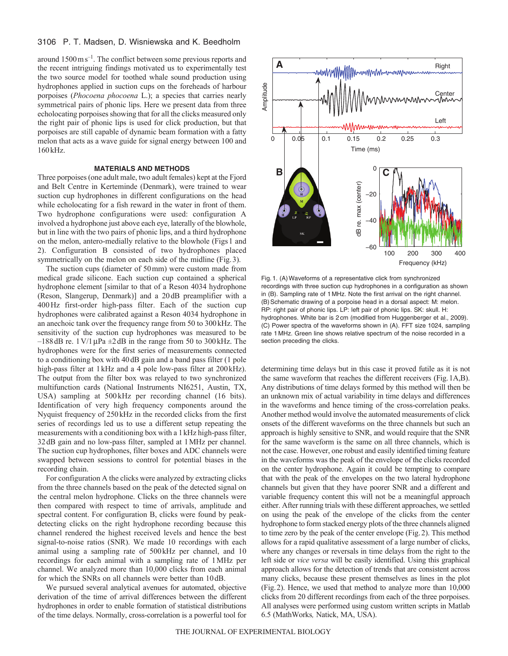# 3106 P. T. Madsen, D. Wisniewska and K. Beedholm

around  $1500 \,\mathrm{m\,s}^{-1}$ . The conflict between some previous reports and the recent intriguing findings motivated us to experimentally test the two source model for toothed whale sound production using hydrophones applied in suction cups on the foreheads of harbour porpoises (*Phocoena phocoena* L.); a species that carries nearly symmetrical pairs of phonic lips. Here we present data from three echolocating porpoises showing that for all the clicks measured only the right pair of phonic lips is used for click production, but that porpoises are still capable of dynamic beam formation with a fatty melon that acts as a wave guide for signal energy between 100 and 160kHz.

# **MATERIALS AND METHODS**

Three porpoises (one adult male, two adult females) kept at the Fjord and Belt Centre in Kerteminde (Denmark), were trained to wear suction cup hydrophones in different configurations on the head while echolocating for a fish reward in the water in front of them. Two hydrophone configurations were used: configuration A involved a hydrophone just above each eye, laterally of the blowhole, but in line with the two pairs of phonic lips, and a third hydrophone on the melon, antero-medially relative to the blowhole (Figs1 and 2). Configuration B consisted of two hydrophones placed symmetrically on the melon on each side of the midline (Fig.3).

The suction cups (diameter of 50mm) were custom made from medical grade silicone. Each suction cup contained a spherical hydrophone element [similar to that of a Reson 4034 hydrophone (Reson, Slangerup, Denmark)] and a 20dB preamplifier with a 400Hz first-order high-pass filter. Each of the suction cup hydrophones were calibrated against a Reson 4034 hydrophone in an anechoic tank over the frequency range from 50 to 300kHz. The sensitivity of the suction cup hydrophones was measured to be  $-188$  dB re. 1 V/1  $\mu$ Pa  $\pm$ 2 dB in the range from 50 to 300 kHz. The hydrophones were for the first series of measurements connected to a conditioning box with 40dB gain and a band pass filter (1 pole high-pass filter at 1kHz and a 4 pole low-pass filter at 200kHz). The output from the filter box was relayed to two synchronized multifunction cards (National Instruments NI6251, Austin, TX, USA) sampling at 500 kHz per recording channel (16 bits). Identification of very high frequency components around the Nyquist frequency of 250kHz in the recorded clicks from the first series of recordings led us to use a different setup repeating the measurements with a conditioning box with a 1kHz high-pass filter, 32dB gain and no low-pass filter, sampled at 1MHz per channel. The suction cup hydrophones, filter boxes and ADC channels were swapped between sessions to control for potential biases in the recording chain.

For configuration A the clicks were analyzed by extracting clicks from the three channels based on the peak of the detected signal on the central melon hydrophone. Clicks on the three channels were then compared with respect to time of arrivals, amplitude and spectral content. For configuration B, clicks were found by peakdetecting clicks on the right hydrophone recording because this channel rendered the highest received levels and hence the best signal-to-noise ratios (SNR). We made 10 recordings with each animal using a sampling rate of 500kHz per channel, and 10 recordings for each animal with a sampling rate of 1MHz per channel. We analyzed more than 10,000 clicks from each animal for which the SNRs on all channels were better than 10dB.

We pursued several analytical avenues for automated, objective derivation of the time of arrival differences between the different hydrophones in order to enable formation of statistical distributions of the time delays. Normally, cross-correlation is a powerful tool for



Fig. 1. (A)Waveforms of a representative click from synchronized recordings with three suction cup hydrophones in a configuration as shown in (B). Sampling rate of 1 MHz. Note the first arrival on the right channel. (B) Schematic drawing of a porpoise head in a dorsal aspect: M: melon. RP: right pair of phonic lips. LP: left pair of phonic lips. SK: skull. H: hydrophones. White bar is 2 cm (modified from Huggenberger et al., 2009). (C) Power spectra of the waveforms shown in (A). FFT size 1024, sampling rate 1 MHz. Green line shows relative spectrum of the noise recorded in a section preceding the clicks.

determining time delays but in this case it proved futile as it is not the same waveform that reaches the different receivers (Fig.1A,B). Any distributions of time delays formed by this method will then be an unknown mix of actual variability in time delays and differences in the waveforms and hence timing of the cross-correlation peaks. Another method would involve the automated measurements of click onsets of the different waveforms on the three channels but such an approach is highly sensitive to SNR, and would require that the SNR for the same waveform is the same on all three channels, which is not the case. However, one robust and easily identified timing feature in the waveforms was the peak of the envelope of the clicks recorded on the center hydrophone. Again it could be tempting to compare that with the peak of the envelopes on the two lateral hydrophone channels but given that they have poorer SNR and a different and variable frequency content this will not be a meaningful approach either. After running trials with these different approaches, we settled on using the peak of the envelope of the clicks from the center hydrophone to form stacked energy plots of the three channels aligned to time zero by the peak of the center envelope (Fig.2). This method allows for a rapid qualitative assessment of a large number of clicks, where any changes or reversals in time delays from the right to the left side or *vice versa* will be easily identified. Using this graphical approach allows for the detection of trends that are consistent across many clicks, because these present themselves as lines in the plot (Fig.2). Hence, we used that method to analyze more than 10,000 clicks from 20 different recordings from each of the three porpoises. All analyses were performed using custom written scripts in Matlab 6.5 (MathWorks*,* Natick, MA, USA).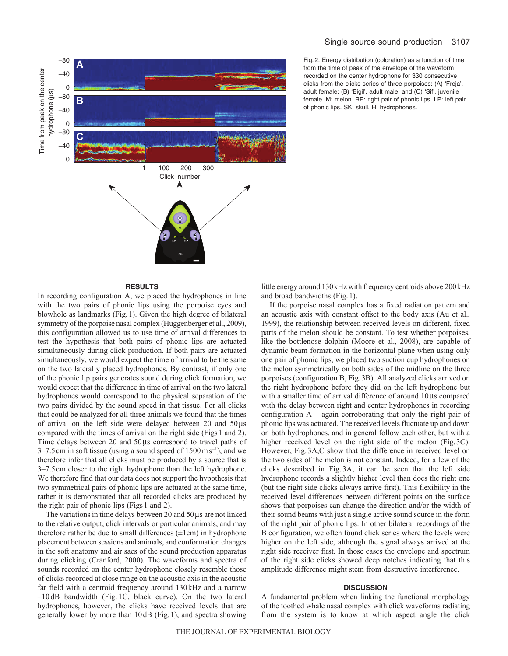



Fig. 2. Energy distribution (coloration) as a function of time from the time of peak of the envelope of the waveform recorded on the center hydrophone for 330 consecutive clicks from the clicks series of three porpoises: (A) 'Freja', adult female; (B) 'Eigil', adult male; and (C) 'Sif', juvenile female. M: melon. RP: right pair of phonic lips. LP: left pair of phonic lips. SK: skull. H: hydrophones.

### **RESULTS**

In recording configuration A, we placed the hydrophones in line with the two pairs of phonic lips using the porpoise eyes and blowhole as landmarks (Fig.1). Given the high degree of bilateral symmetry of the porpoise nasal complex (Huggenberger et al., 2009), this configuration allowed us to use time of arrival differences to test the hypothesis that both pairs of phonic lips are actuated simultaneously during click production. If both pairs are actuated simultaneously, we would expect the time of arrival to be the same on the two laterally placed hydrophones. By contrast, if only one of the phonic lip pairs generates sound during click formation, we would expect that the difference in time of arrival on the two lateral hydrophones would correspond to the physical separation of the two pairs divided by the sound speed in that tissue. For all clicks that could be analyzed for all three animals we found that the times of arrival on the left side were delayed between  $20$  and  $50\,\mu s$ compared with the times of arrival on the right side (Figs 1 and 2). Time delays between 20 and 50µs correspond to travel paths of  $3-7.5$  cm in soft tissue (using a sound speed of  $1500 \text{ m s}^{-1}$ ), and we therefore infer that all clicks must be produced by a source that is 3–7.5cm closer to the right hydrophone than the left hydrophone. We therefore find that our data does not support the hypothesis that two symmetrical pairs of phonic lips are actuated at the same time, rather it is demonstrated that all recorded clicks are produced by the right pair of phonic lips (Figs1 and 2).

The variations in time delays between  $20$  and  $50 \mu s$  are not linked to the relative output, click intervals or particular animals, and may therefore rather be due to small differences  $(\pm 1$ cm) in hydrophone placement between sessions and animals, and conformation changes in the soft anatomy and air sacs of the sound production apparatus during clicking (Cranford, 2000). The waveforms and spectra of sounds recorded on the center hydrophone closely resemble those of clicks recorded at close range on the acoustic axis in the acoustic far field with a centroid frequency around 130kHz and a narrow –10 dB bandwidth (Fig. 1C, black curve). On the two lateral hydrophones, however, the clicks have received levels that are generally lower by more than 10dB (Fig.1), and spectra showing little energy around 130kHz with frequency centroids above 200kHz and broad bandwidths (Fig.1).

If the porpoise nasal complex has a fixed radiation pattern and an acoustic axis with constant offset to the body axis (Au et al., 1999), the relationship between received levels on different, fixed parts of the melon should be constant. To test whether porpoises, like the bottlenose dolphin (Moore et al., 2008), are capable of dynamic beam formation in the horizontal plane when using only one pair of phonic lips, we placed two suction cup hydrophones on the melon symmetrically on both sides of the midline on the three porpoises (configuration B, Fig.3B). All analyzed clicks arrived on the right hydrophone before they did on the left hydrophone but with a smaller time of arrival difference of around  $10\,\mu s$  compared with the delay between right and center hydrophones in recording configuration  $A -$  again corroborating that only the right pair of phonic lips was actuated. The received levels fluctuate up and down on both hydrophones, and in general follow each other, but with a higher received level on the right side of the melon (Fig. 3C). However, Fig.3A,C show that the difference in received level on the two sides of the melon is not constant. Indeed, for a few of the clicks described in Fig. 3A, it can be seen that the left side hydrophone records a slightly higher level than does the right one (but the right side clicks always arrive first). This flexibility in the received level differences between different points on the surface shows that porpoises can change the direction and/or the width of their sound beams with just a single active sound source in the form of the right pair of phonic lips. In other bilateral recordings of the B configuration, we often found click series where the levels were higher on the left side, although the signal always arrived at the right side receiver first. In those cases the envelope and spectrum of the right side clicks showed deep notches indicating that this amplitude difference might stem from destructive interference.

## **DISCUSSION**

A fundamental problem when linking the functional morphology of the toothed whale nasal complex with click waveforms radiating from the system is to know at which aspect angle the click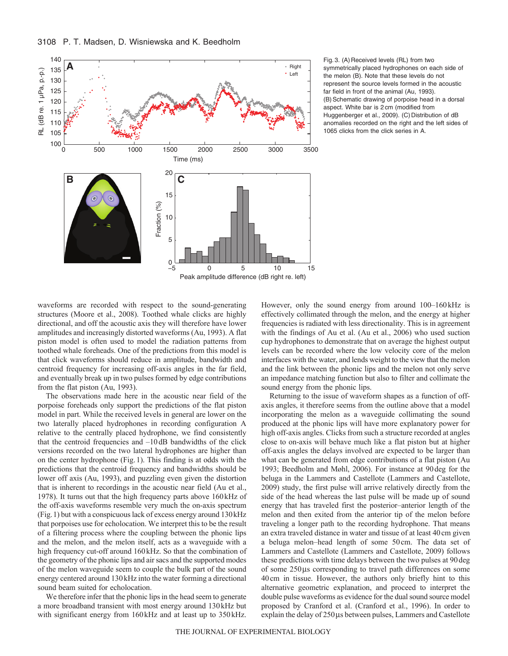

Fig. 3. (A) Received levels (RL) from two symmetrically placed hydrophones on each side of the melon (B). Note that these levels do not represent the source levels formed in the acoustic far field in front of the animal (Au, 1993). (B) Schematic drawing of porpoise head in a dorsal aspect. White bar is 2 cm (modified from Huggenberger et al., 2009). (C) Distribution of dB anomalies recorded on the right and the left sides of 1065 clicks from the click series in A.

waveforms are recorded with respect to the sound-generating structures (Moore et al., 2008). Toothed whale clicks are highly directional, and off the acoustic axis they will therefore have lower amplitudes and increasingly distorted waveforms (Au, 1993). A flat piston model is often used to model the radiation patterns from toothed whale foreheads. One of the predictions from this model is that click waveforms should reduce in amplitude, bandwidth and centroid frequency for increasing off-axis angles in the far field, and eventually break up in two pulses formed by edge contributions from the flat piston (Au, 1993).

The observations made here in the acoustic near field of the porpoise foreheads only support the predictions of the flat piston model in part. While the received levels in general are lower on the two laterally placed hydrophones in recording configuration A relative to the centrally placed hydrophone, we find consistently that the centroid frequencies and –10dB bandwidths of the click versions recorded on the two lateral hydrophones are higher than on the center hydrophone (Fig.1). This finding is at odds with the predictions that the centroid frequency and bandwidths should be lower off axis (Au, 1993), and puzzling even given the distortion that is inherent to recordings in the acoustic near field (Au et al., 1978). It turns out that the high frequency parts above 160kHz of the off-axis waveforms resemble very much the on-axis spectrum (Fig.1) but with a conspicuous lack of excess energy around 130kHz that porpoises use for echolocation. We interpret this to be the result of a filtering process where the coupling between the phonic lips and the melon, and the melon itself, acts as a waveguide with a high frequency cut-off around 160kHz. So that the combination of the geometry of the phonic lips and air sacs and the supported modes of the melon waveguide seem to couple the bulk part of the sound energy centered around 130kHz into the water forming a directional sound beam suited for echolocation.

We therefore infer that the phonic lips in the head seem to generate a more broadband transient with most energy around 130kHz but with significant energy from 160kHz and at least up to 350kHz. However, only the sound energy from around 100–160kHz is effectively collimated through the melon, and the energy at higher frequencies is radiated with less directionality. This is in agreement with the findings of Au et al. (Au et al., 2006) who used suction cup hydrophones to demonstrate that on average the highest output levels can be recorded where the low velocity core of the melon interfaces with the water, and lends weight to the view that the melon and the link between the phonic lips and the melon not only serve an impedance matching function but also to filter and collimate the sound energy from the phonic lips.

Returning to the issue of waveform shapes as a function of offaxis angles, it therefore seems from the outline above that a model incorporating the melon as a waveguide collimating the sound produced at the phonic lips will have more explanatory power for high off-axis angles. Clicks from such a structure recorded at angles close to on-axis will behave much like a flat piston but at higher off-axis angles the delays involved are expected to be larger than what can be generated from edge contributions of a flat piston (Au 1993; Beedholm and Møhl, 2006). For instance at 90deg for the beluga in the Lammers and Castellote (Lammers and Castellote, 2009) study, the first pulse will arrive relatively directly from the side of the head whereas the last pulse will be made up of sound energy that has traveled first the posterior–anterior length of the melon and then exited from the anterior tip of the melon before traveling a longer path to the recording hydrophone. That means an extra traveled distance in water and tissue of at least 40cm given a beluga melon–head length of some 50cm. The data set of Lammers and Castellote (Lammers and Castellote, 2009) follows these predictions with time delays between the two pulses at 90deg of some 250µs corresponding to travel path differences on some 40cm in tissue. However, the authors only briefly hint to this alternative geometric explanation, and proceed to interpret the double pulse waveforms as evidence for the dual sound source model proposed by Cranford et al. (Cranford et al., 1996). In order to  $e^{-\frac{1}{2}}$  explain the delay of  $250 \mu s$  between pulses, Lammers and Castellote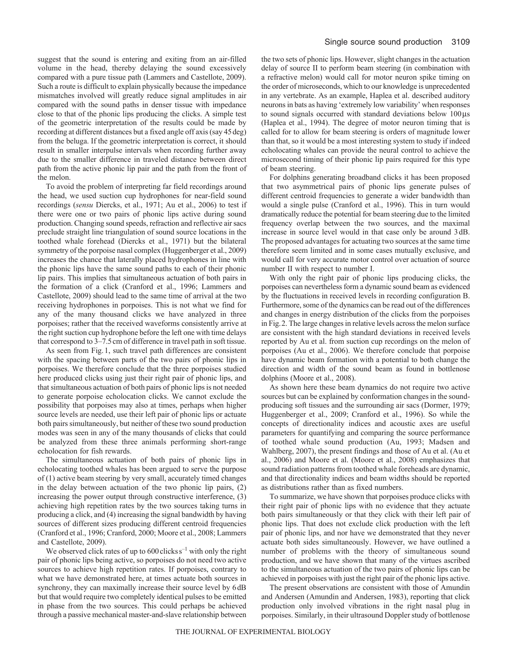suggest that the sound is entering and exiting from an air-filled volume in the head, thereby delaying the sound excessively compared with a pure tissue path (Lammers and Castellote, 2009). Such a route is difficult to explain physically because the impedance mismatches involved will greatly reduce signal amplitudes in air compared with the sound paths in denser tissue with impedance close to that of the phonic lips producing the clicks. A simple test of the geometric interpretation of the results could be made by recording at different distances but a fixed angle off axis (say 45deg) from the beluga. If the geometric interpretation is correct, it should result in smaller interpulse intervals when recording further away due to the smaller difference in traveled distance between direct path from the active phonic lip pair and the path from the front of the melon.

To avoid the problem of interpreting far field recordings around the head, we used suction cup hydrophones for near-field sound recordings (*sensu* Diercks, et al., 1971; Au et al., 2006) to test if there were one or two pairs of phonic lips active during sound production. Changing sound speeds, refraction and reflective air sacs preclude straight line triangulation of sound source locations in the toothed whale forehead (Diercks et al., 1971) but the bilateral symmetry of the porpoise nasal complex (Huggenberger et al., 2009) increases the chance that laterally placed hydrophones in line with the phonic lips have the same sound paths to each of their phonic lip pairs. This implies that simultaneous actuation of both pairs in the formation of a click (Cranford et al., 1996; Lammers and Castellote, 2009) should lead to the same time of arrival at the two receiving hydrophones in porpoises. This is not what we find for any of the many thousand clicks we have analyzed in three porpoises; rather that the received waveforms consistently arrive at the right suction cup hydrophone before the left one with time delays that correspond to 3–7.5cm of difference in travel path in soft tissue.

As seen from Fig.1, such travel path differences are consistent with the spacing between parts of the two pairs of phonic lips in porpoises. We therefore conclude that the three porpoises studied here produced clicks using just their right pair of phonic lips, and that simultaneous actuation of both pairs of phonic lips is not needed to generate porpoise echolocation clicks. We cannot exclude the possibility that porpoises may also at times, perhaps when higher source levels are needed, use their left pair of phonic lips or actuate both pairs simultaneously, but neither of these two sound production modes was seen in any of the many thousands of clicks that could be analyzed from these three animals performing short-range echolocation for fish rewards.

The simultaneous actuation of both pairs of phonic lips in echolocating toothed whales has been argued to serve the purpose of (1) active beam steering by very small, accurately timed changes in the delay between actuation of the two phonic lip pairs, (2) increasing the power output through constructive interference, (3) achieving high repetition rates by the two sources taking turns in producing a click, and (4) increasing the signal bandwidth by having sources of different sizes producing different centroid frequencies (Cranford et al., 1996; Cranford, 2000; Moore et al., 2008; Lammers and Castellote, 2009).

We observed click rates of up to  $600$  clicks  $s^{-1}$  with only the right pair of phonic lips being active, so porpoises do not need two active sources to achieve high repetition rates. If porpoises, contrary to what we have demonstrated here, at times actuate both sources in synchrony, they can maximally increase their source level by 6dB but that would require two completely identical pulses to be emitted in phase from the two sources. This could perhaps be achieved through a passive mechanical master-and-slave relationship between the two sets of phonic lips. However, slight changes in the actuation delay of source II to perform beam steering (in combination with a refractive melon) would call for motor neuron spike timing on the order of microseconds, which to our knowledge is unprecedented in any vertebrate. As an example, Haplea et al. described auditory neurons in bats as having 'extremely low variability' when responses to sound signals occurred with standard deviations below  $100\,\mu s$ (Haplea et al., 1994). The degree of motor neuron timing that is called for to allow for beam steering is orders of magnitude lower than that, so it would be a most interesting system to study if indeed echolocating whales can provide the neural control to achieve the microsecond timing of their phonic lip pairs required for this type of beam steering.

For dolphins generating broadband clicks it has been proposed that two asymmetrical pairs of phonic lips generate pulses of different centroid frequencies to generate a wider bandwidth than would a single pulse (Cranford et al., 1996). This in turn would dramatically reduce the potential for beam steering due to the limited frequency overlap between the two sources, and the maximal increase in source level would in that case only be around 3dB. The proposed advantages for actuating two sources at the same time therefore seem limited and in some cases mutually exclusive, and would call for very accurate motor control over actuation of source number II with respect to number I.

With only the right pair of phonic lips producing clicks, the porpoises can nevertheless form a dynamic sound beam as evidenced by the fluctuations in received levels in recording configuration B. Furthermore, some of the dynamics can be read out of the differences and changes in energy distribution of the clicks from the porpoises in Fig.2. The large changes in relative levels across the melon surface are consistent with the high standard deviations in received levels reported by Au et al. from suction cup recordings on the melon of porpoises (Au et al., 2006). We therefore conclude that porpoise have dynamic beam formation with a potential to both change the direction and width of the sound beam as found in bottlenose dolphins (Moore et al., 2008).

As shown here these beam dynamics do not require two active sources but can be explained by conformation changes in the soundproducing soft tissues and the surrounding air sacs (Dormer, 1979; Huggenberger et al., 2009; Cranford et al., 1996). So while the concepts of directionality indices and acoustic axes are useful parameters for quantifying and comparing the source performance of toothed whale sound production (Au, 1993; Madsen and Wahlberg, 2007), the present findings and those of Au et al. (Au et al., 2006) and Moore et al. (Moore et al., 2008) emphasizes that sound radiation patterns from toothed whale foreheads are dynamic, and that directionality indices and beam widths should be reported as distributions rather than as fixed numbers.

To summarize, we have shown that porpoises produce clicks with their right pair of phonic lips with no evidence that they actuate both pairs simultaneously or that they click with their left pair of phonic lips. That does not exclude click production with the left pair of phonic lips, and nor have we demonstrated that they never actuate both sides simultaneously. However, we have outlined a number of problems with the theory of simultaneous sound production, and we have shown that many of the virtues ascribed to the simultaneous actuation of the two pairs of phonic lips can be achieved in porpoises with just the right pair of the phonic lips active.

The present observations are consistent with those of Amundin and Andersen (Amundin and Andersen, 1983), reporting that click production only involved vibrations in the right nasal plug in porpoises. Similarly, in their ultrasound Doppler study of bottlenose